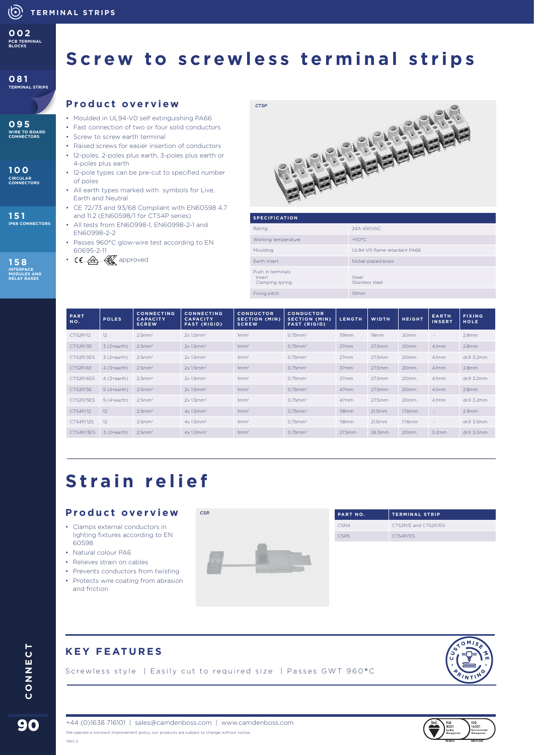**DIECAST ACCESSORIES PCB TERMINAL BLOCKS 002**

**081 TERMINAL STRIPS**

**095**

**WIRE TO BOARD CONNECTORS**

**100**

**CIRCULAR CONNECTORS**

**IP68 CONNECTORS**

**151**

**158 INTERFACE MODULES AND RELAY BASES**

## **Screw to screwless terminal strips**

### **Product overview**

- Moulded in UL94-V0 self extinguishing PA66
- Fast connection of two or four solid conductors
- Screw to screw earth terminal
- Raised screws for easier insertion of conductors • 12-poles, 2-poles plus earth, 3-poles plus earth or 4-poles plus earth
- 12-pole types can be pre-cut to specified number of poles
- All earth types marked with symbols for Live, Earth and Neutral
- CE 72/73 and 93/68 Compliant with EN60598 4.7 and 11.2 (EN60598/1 for CTS4P series)
- All tests from EN60998-1, EN60998-2-1 and EN60998-2-2
- Passes 960°C glow-wire test according to EN 60695-2-11
- $C6$ ,  $\circledcirc$ ,  $\circledcircledast$  approved



#### **SPECIFICATION**

| Rating                                         | 24A 450VAC                   |
|------------------------------------------------|------------------------------|
| Working temperature                            | $+110^{\circ}$ C             |
| Moulding                                       | UL94-VO flame retardant PA66 |
| Farth insert                                   | Nickel-plated brass          |
| Push in terminals<br>Insert<br>Clamping spring | Steel<br>Stainless steel     |
| Fixing pitch                                   | 10 <sub>mm</sub>             |

| PART<br>NO. | <b>POLES</b> | <b>CONNECTING</b><br><b>CAPACITY</b><br><b>SCREW</b> | <b>CONNECTING</b><br><b>CAPACITY</b><br><b>FAST (RIGID)</b> | <b>CONDUCTOR</b><br><b>SECTION (MIN)</b><br><b>SCREW</b> | <b>CONDUCTOR</b><br><b>SECTION (MIN)</b><br><b>FAST (RIGID)</b> | <b>LENGTH</b>    | <b>WIDTH</b> | <b>HEIGHT</b>    | <b>EARTH</b><br><b>INSERT</b> | <b>FIXING</b><br>HOLE |
|-------------|--------------|------------------------------------------------------|-------------------------------------------------------------|----------------------------------------------------------|-----------------------------------------------------------------|------------------|--------------|------------------|-------------------------------|-----------------------|
| CTS2P/12    | 12           | $2.5$ mm <sup>2</sup>                                | $2x1.5$ mm <sup>2</sup>                                     | 1mm <sup>2</sup>                                         | $0.75$ mm <sup>2</sup>                                          | 119mm            | 19mm         | 20 <sub>mm</sub> | $\sim$                        | 2.8 <sub>mm</sub>     |
| CTS2P/3E    | $3(2+earth)$ | $2.5$ mm <sup>2</sup>                                | $2x1.5$ mm <sup>2</sup>                                     | 1mm <sup>2</sup>                                         | $0.75$ mm <sup>2</sup>                                          | 27mm             | 27.5mm       | 20mm             | $4.1$ mm                      | 2.8 <sub>mm</sub>     |
| CTS2P/3ES   | $3(2+earth)$ | $2.5$ mm <sup>2</sup>                                | 2x1.5mm <sup>2</sup>                                        | 1mm <sup>2</sup>                                         | $0.75$ mm <sup>2</sup>                                          | 27mm             | 27.5mm       | 20mm             | $4.1$ mm                      | drill 3.2mm           |
| CTS2P/4E    | $4(3+earth)$ | $2.5$ mm <sup>2</sup>                                | $2x 1.5$ mm <sup>2</sup>                                    | 1mm <sup>2</sup>                                         | $0.75$ mm <sup>2</sup>                                          | 37mm             | 27.5mm       | 20 <sub>mm</sub> | 4.1mm                         | 2.8 <sub>mm</sub>     |
| CTS2P/4ES   | $4(3+earth)$ | $2.5$ mm <sup>2</sup>                                | $2x 1.5$ mm <sup>2</sup>                                    | 1mm <sup>2</sup>                                         | $0.75$ mm <sup>2</sup>                                          | 37 <sub>mm</sub> | 27.5mm       | 20 <sub>mm</sub> | $4.1$ mm                      | drill 3.2mm           |
| CTS2P/5E    | $5(4+earth)$ | $2.5$ mm <sup>2</sup>                                | $2x 1.5$ mm <sup>2</sup>                                    | 1mm <sup>2</sup>                                         | $0.75$ mm <sup>2</sup>                                          | 47mm             | 27.5mm       | 20mm             | $4.1$ mm                      | 2.8 <sub>mm</sub>     |
| CTS2P/5ES   | $5(4+earth)$ | $2.5$ mm <sup>2</sup>                                | $2x 1.5$ mm <sup>2</sup>                                    | 1mm <sup>2</sup>                                         | $0.75$ mm <sup>2</sup>                                          | 47mm             | 27.5mm       | 20mm             | $4.1$ mm                      | drill 3.2mm           |
| CTS4P/12    | 12           | $2.5$ mm <sup>2</sup>                                | 4x 1.5mm <sup>2</sup>                                       | 1mm <sup>2</sup>                                         | $0.75$ mm <sup>2</sup>                                          | 118mm            | 21.5mm       | 17.6mm           | $\sim$                        | 2.9 <sub>mm</sub>     |
| CTS4P/12S   | 12           | $2.5$ mm <sup>2</sup>                                | 4x1.5mm <sup>2</sup>                                        | 1mm <sup>2</sup>                                         | $0.75$ mm <sup>2</sup>                                          | 118mm            | 21.5mm       | 17.6mm           | $\sim$                        | drill 3.5mm           |
| CTS4P/3ES   | $3(2+earth)$ | $2.5$ mm <sup>2</sup>                                | $4x 1.0$ mm <sup>2</sup>                                    | 1mm <sup>2</sup>                                         | $0.75$ mm <sup>2</sup>                                          | 27.5mm           | 26.5mm       | 20mm             | 3.2mm                         | drill $3.2$ mm        |

# **Strain relief**

#### **Product overview**

- Clamps external conductors in lighting fixtures according to EN 60598
- Natural colour PA6
- Relieves strain on cables
- Prevents conductors from twisting
- Protects wire coating from abrasion and friction



| PART NO. | <b>TERMINAL STRIP.</b> |
|----------|------------------------|
| CSR4     | CTS2P/E and CTS2P/ES   |
| CSR5.    | CTS4P/ES               |
|          |                        |

### **KEY FEATURES**

Screwless style | Easily cut to required size | Passes GWT 960 **°** C



Vers 2